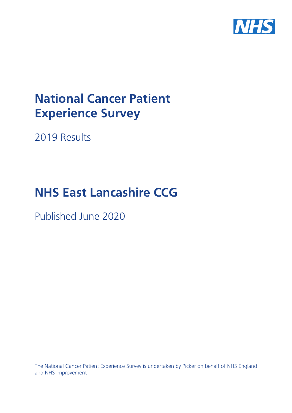

# **National Cancer Patient Experience Survey**

2019 Results

# **NHS East Lancashire CCG**

Published June 2020

The National Cancer Patient Experience Survey is undertaken by Picker on behalf of NHS England and NHS Improvement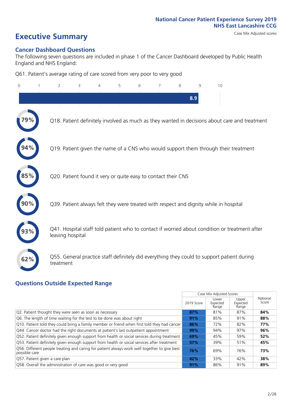# **Executive Summary** Case Mix Adjusted scores

### **Cancer Dashboard Questions**

The following seven questions are included in phase 1 of the Cancer Dashboard developed by Public Health England and NHS England:

Q61. Patient's average rating of care scored from very poor to very good

| $\mathbf{0}$ | $\overline{2}$                                                | 3 | 5 | 6 | 7 | 8 | 9   | 10                                                                                            |  |
|--------------|---------------------------------------------------------------|---|---|---|---|---|-----|-----------------------------------------------------------------------------------------------|--|
|              |                                                               |   |   |   |   |   | 8.9 |                                                                                               |  |
|              |                                                               |   |   |   |   |   |     | Q18. Patient definitely involved as much as they wanted in decisions about care and treatment |  |
|              |                                                               |   |   |   |   |   |     | Q19. Patient given the name of a CNS who would support them through their treatment           |  |
| 85%          | Q20. Patient found it very or quite easy to contact their CNS |   |   |   |   |   |     |                                                                                               |  |
|              |                                                               |   |   |   |   |   |     | Q39. Patient always felt they were treated with respect and dignity while in hospital         |  |
|              | leaving hospital                                              |   |   |   |   |   |     | Q41. Hospital staff told patient who to contact if worried about condition or treatment after |  |
| 62%          | treatment                                                     |   |   |   |   |   |     | Q55. General practice staff definitely did everything they could to support patient during    |  |

### **Questions Outside Expected Range**

|                                                                                                               |            | Case Mix Adjusted Scores   |                            |                   |
|---------------------------------------------------------------------------------------------------------------|------------|----------------------------|----------------------------|-------------------|
|                                                                                                               | 2019 Score | Lower<br>Expected<br>Range | Upper<br>Expected<br>Range | National<br>Score |
| Q2. Patient thought they were seen as soon as necessary                                                       | 87%        | 81%                        | 87%                        | 84%               |
| Q6. The length of time waiting for the test to be done was about right                                        | 91%        | 85%                        | 91%                        | 88%               |
| Q10. Patient told they could bring a family member or friend when first told they had cancer                  | 86%        | 72%                        | 82%                        | 77%               |
| Q44. Cancer doctor had the right documents at patient's last outpatient appointment                           | 99%        | 94%                        | 97%                        | 96%               |
| Q52. Patient definitely given enough support from health or social services during treatment                  | 69%        | 45%                        | 59%                        | 52%               |
| Q53. Patient definitely given enough support from health or social services after treatment                   | 57%        | 39%                        | 51%                        | 45%               |
| Q56. Different people treating and caring for patient always work well together to give best<br>possible care | 76%        | 69%                        | 76%                        | 73%               |
| Q57. Patient given a care plan                                                                                | 42%        | 33%                        | 42%                        | 38%               |
| Q58. Overall the administration of care was good or very good                                                 | 91%        | 86%                        | 91%                        | 89%               |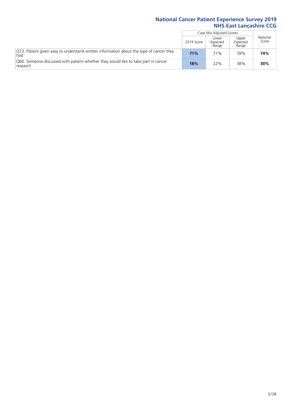|                                                                                                 |            | Case Mix Adjusted Scores   |                            |                   |
|-------------------------------------------------------------------------------------------------|------------|----------------------------|----------------------------|-------------------|
|                                                                                                 | 2019 Score | Lower<br>Expected<br>Range | Upper<br>Expected<br>Range | National<br>Score |
| [O13. Patient given easy to understand written information about the type of cancer they<br>had | 71%        | 71%                        | 78%                        | 74%               |
| O60. Someone discussed with patient whether they would like to take part in cancer<br>research  | 18%        | 22%                        | 38%                        | 30%               |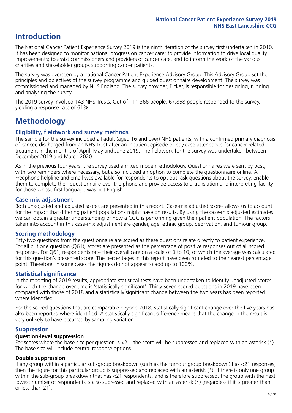### **Introduction**

The National Cancer Patient Experience Survey 2019 is the ninth iteration of the survey first undertaken in 2010. It has been designed to monitor national progress on cancer care; to provide information to drive local quality improvements; to assist commissioners and providers of cancer care; and to inform the work of the various charities and stakeholder groups supporting cancer patients.

The survey was overseen by a national Cancer Patient Experience Advisory Group. This Advisory Group set the principles and objectives of the survey programme and guided questionnaire development. The survey was commissioned and managed by NHS England. The survey provider, Picker, is responsible for designing, running and analysing the survey.

The 2019 survey involved 143 NHS Trusts. Out of 111,366 people, 67,858 people responded to the survey, yielding a response rate of 61%.

### **Methodology**

### **Eligibility, eldwork and survey methods**

The sample for the survey included all adult (aged 16 and over) NHS patients, with a confirmed primary diagnosis of cancer, discharged from an NHS Trust after an inpatient episode or day case attendance for cancer related treatment in the months of April, May and June 2019. The fieldwork for the survey was undertaken between December 2019 and March 2020.

As in the previous four years, the survey used a mixed mode methodology. Questionnaires were sent by post, with two reminders where necessary, but also included an option to complete the questionnaire online. A Freephone helpline and email was available for respondents to opt out, ask questions about the survey, enable them to complete their questionnaire over the phone and provide access to a translation and interpreting facility for those whose first language was not English.

### **Case-mix adjustment**

Both unadjusted and adjusted scores are presented in this report. Case-mix adjusted scores allows us to account for the impact that differing patient populations might have on results. By using the case-mix adjusted estimates we can obtain a greater understanding of how a CCG is performing given their patient population. The factors taken into account in this case-mix adjustment are gender, age, ethnic group, deprivation, and tumour group.

### **Scoring methodology**

Fifty-two questions from the questionnaire are scored as these questions relate directly to patient experience. For all but one question (Q61), scores are presented as the percentage of positive responses out of all scored responses. For Q61, respondents rate their overall care on a scale of 0 to 10, of which the average was calculated for this question's presented score. The percentages in this report have been rounded to the nearest percentage point. Therefore, in some cases the figures do not appear to add up to 100%.

### **Statistical significance**

In the reporting of 2019 results, appropriate statistical tests have been undertaken to identify unadjusted scores for which the change over time is 'statistically significant'. Thirty-seven scored questions in 2019 have been compared with those of 2018 and a statistically significant change between the two years has been reported where identified.

For the scored questions that are comparable beyond 2018, statistically significant change over the five years has also been reported where identified. A statistically significant difference means that the change in the result is very unlikely to have occurred by sampling variation.

### **Suppression**

### **Question-level suppression**

For scores where the base size per question is  $<$ 21, the score will be suppressed and replaced with an asterisk (\*). The base size will include neutral response options.

### **Double suppression**

If any group within a particular sub-group breakdown (such as the tumour group breakdown) has <21 responses, then the figure for this particular group is suppressed and replaced with an asterisk (\*). If there is only one group within the sub-group breakdown that has <21 respondents, and is therefore suppressed, the group with the next lowest number of respondents is also supressed and replaced with an asterisk (\*) (regardless if it is greater than or less than 21).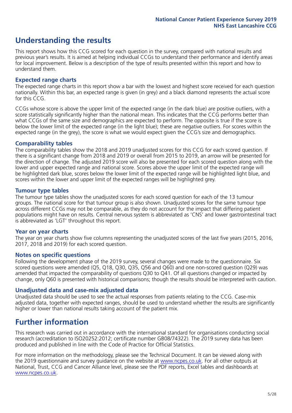### **Understanding the results**

This report shows how this CCG scored for each question in the survey, compared with national results and previous year's results. It is aimed at helping individual CCGs to understand their performance and identify areas for local improvement. Below is a description of the type of results presented within this report and how to understand them.

### **Expected range charts**

The expected range charts in this report show a bar with the lowest and highest score received for each question nationally. Within this bar, an expected range is given (in grey) and a black diamond represents the actual score for this CCG.

CCGs whose score is above the upper limit of the expected range (in the dark blue) are positive outliers, with a score statistically significantly higher than the national mean. This indicates that the CCG performs better than what CCGs of the same size and demographics are expected to perform. The opposite is true if the score is below the lower limit of the expected range (in the light blue); these are negative outliers. For scores within the expected range (in the grey), the score is what we would expect given the CCG's size and demographics.

### **Comparability tables**

The comparability tables show the 2018 and 2019 unadjusted scores for this CCG for each scored question. If there is a significant change from 2018 and 2019 or overall from 2015 to 2019, an arrow will be presented for the direction of change. The adjusted 2019 score will also be presented for each scored question along with the lower and upper expected range and national score. Scores above the upper limit of the expected range will be highlighted dark blue, scores below the lower limit of the expected range will be highlighted light blue, and scores within the lower and upper limit of the expected ranges will be highlighted grey.

### **Tumour type tables**

The tumour type tables show the unadjusted scores for each scored question for each of the 13 tumour groups. The national score for that tumour group is also shown. Unadjusted scores for the same tumour type across different CCGs may not be comparable, as they do not account for the impact that differing patient populations might have on results. Central nervous system is abbreviated as 'CNS' and lower gastrointestinal tract is abbreviated as 'LGT' throughout this report.

### **Year on year charts**

The year on year charts show five columns representing the unadjusted scores of the last five years (2015, 2016, 2017, 2018 and 2019) for each scored question.

### **Notes on specific questions**

Following the development phase of the 2019 survey, several changes were made to the questionnaire. Six scored questions were amended (Q5, Q18, Q30, Q35, Q56 and Q60) and one non-scored question (Q29) was amended that impacted the comparability of questions Q30 to Q41. Of all questions changed or impacted by change, only Q60 is presented with historical comparisons; though the results should be interpreted with caution.

### **Unadjusted data and case-mix adjusted data**

Unadjusted data should be used to see the actual responses from patients relating to the CCG. Case-mix adjusted data, together with expected ranges, should be used to understand whether the results are significantly higher or lower than national results taking account of the patient mix.

### **Further information**

This research was carried out in accordance with the international standard for organisations conducting social research (accreditation to ISO20252:2012; certificate number GB08/74322). The 2019 survey data has been produced and published in line with the Code of Practice for Official Statistics.

For more information on the methodology, please see the Technical Document. It can be viewed along with the 2019 questionnaire and survey quidance on the website at [www.ncpes.co.uk](https://www.ncpes.co.uk/supporting-documents). For all other outputs at National, Trust, CCG and Cancer Alliance level, please see the PDF reports, Excel tables and dashboards at [www.ncpes.co.uk.](https://www.ncpes.co.uk/current-results)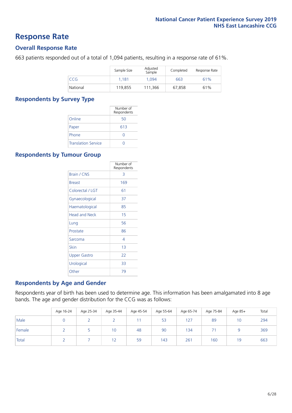### **Response Rate**

### **Overall Response Rate**

663 patients responded out of a total of 1,094 patients, resulting in a response rate of 61%.

|          | Sample Size | Adjusted<br>Sample | Completed | Response Rate |
|----------|-------------|--------------------|-----------|---------------|
| CCG      | 1.181       | 1.094              | 663       | 61%           |
| National | 119,855     | 111.366            | 67.858    | 61%           |

### **Respondents by Survey Type**

|                            | Number of<br>Respondents |
|----------------------------|--------------------------|
| Online                     | 50                       |
| Paper                      | 613                      |
| Phone                      |                          |
| <b>Translation Service</b> |                          |

### **Respondents by Tumour Group**

|                      | Number of<br>Respondents |
|----------------------|--------------------------|
| <b>Brain / CNS</b>   | 3                        |
| <b>Breast</b>        | 169                      |
| Colorectal / LGT     | 61                       |
| Gynaecological       | 37                       |
| Haematological       | 85                       |
| <b>Head and Neck</b> | 15                       |
| Lung                 | 56                       |
| Prostate             | 86                       |
| Sarcoma              | 4                        |
| Skin                 | 1 <sub>3</sub>           |
| Upper Gastro         | 22                       |
| Urological           | 33                       |
| Other                | 79                       |

### **Respondents by Age and Gender**

Respondents year of birth has been used to determine age. This information has been amalgamated into 8 age bands. The age and gender distribution for the CCG was as follows:

|        | Age 16-24 | Age 25-34 | Age 35-44 | Age 45-54 | Age 55-64 | Age 65-74 | Age 75-84 | Age 85+ | Total |
|--------|-----------|-----------|-----------|-----------|-----------|-----------|-----------|---------|-------|
| Male   |           |           |           |           | 53        | 127       | 89        | 10      | 294   |
| Female |           |           | 10        | 48        | 90        | 134       | ÷.        |         | 369   |
| Total  |           |           | 12        | 59        | 143       | 261       | 160       | 19      | 663   |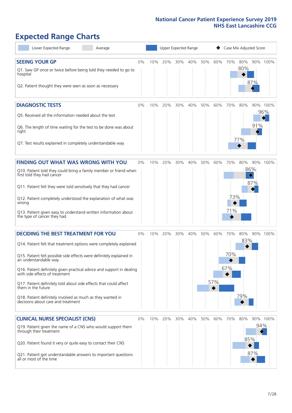# **Expected Range Charts**

| Lower Expected Range<br>Average                                                                         |    |     |     |     | Upper Expected Range |     |     | Case Mix Adjusted Score |     |          |          |
|---------------------------------------------------------------------------------------------------------|----|-----|-----|-----|----------------------|-----|-----|-------------------------|-----|----------|----------|
| <b>SEEING YOUR GP</b>                                                                                   | 0% | 10% | 20% | 30% | 40%                  | 50% | 60% | 70%                     | 80% |          | 90% 100% |
| Q1. Saw GP once or twice before being told they needed to go to<br>hospital                             |    |     |     |     |                      |     |     |                         | 80% |          |          |
| Q2. Patient thought they were seen as soon as necessary                                                 |    |     |     |     |                      |     |     |                         |     | 87%      |          |
| <b>DIAGNOSTIC TESTS</b>                                                                                 | 0% | 10% | 20% | 30% | 40%                  | 50% | 60% | 70%                     | 80% |          | 90% 100% |
| O5. Received all the information needed about the test                                                  |    |     |     |     |                      |     |     |                         |     |          | 96%      |
| Q6. The length of time waiting for the test to be done was about<br>right                               |    |     |     |     |                      |     |     |                         | 77% | 91%      |          |
| Q7. Test results explained in completely understandable way                                             |    |     |     |     |                      |     |     |                         |     |          |          |
| <b>FINDING OUT WHAT WAS WRONG WITH YOU</b>                                                              | 0% | 10% | 20% | 30% | 40%                  | 50% | 60% | 70%                     | 80% |          | 90% 100% |
| Q10. Patient told they could bring a family member or friend when<br>first told they had cancer         |    |     |     |     |                      |     |     |                         |     | 86%<br>♦ |          |
| Q11. Patient felt they were told sensitively that they had cancer                                       |    |     |     |     |                      |     |     |                         |     | 87%      |          |
| Q12. Patient completely understood the explanation of what was<br>wrong                                 |    |     |     |     |                      |     |     | 73%                     |     |          |          |
| Q13. Patient given easy to understand written information about<br>the type of cancer they had          |    |     |     |     |                      |     |     | 71%                     |     |          |          |
| <b>DECIDING THE BEST TREATMENT FOR YOU</b>                                                              | 0% | 10% | 20% | 30% | 40%                  | 50% | 60% | 70%                     | 80% |          | 90% 100% |
| Q14. Patient felt that treatment options were completely explained                                      |    |     |     |     |                      |     |     |                         | 83% |          |          |
| Q15. Patient felt possible side effects were definitely explained in<br>an understandable way           |    |     |     |     |                      |     |     | 70%                     |     |          |          |
| Q16. Patient definitely given practical advice and support in dealing<br>with side effects of treatment |    |     |     |     |                      |     |     | 67%                     |     |          |          |
| Q17. Patient definitely told about side effects that could affect<br>them in the future                 |    |     |     |     |                      |     | 57% |                         |     |          |          |
| Q18. Patient definitely involved as much as they wanted in<br>decisions about care and treatment        |    |     |     |     |                      |     |     |                         | 79% |          |          |
| <b>CLINICAL NURSE SPECIALIST (CNS)</b>                                                                  | 0% | 10% | 20% | 30% | 40%                  | 50% | 60% | 70%                     | 80% |          | 90% 100% |
| Q19. Patient given the name of a CNS who would support them<br>through their treatment                  |    |     |     |     |                      |     |     |                         |     | 94%      |          |
| Q20. Patient found it very or quite easy to contact their CNS                                           |    |     |     |     |                      |     |     |                         |     | 85%      |          |
| Q21. Patient got understandable answers to important questions<br>all or most of the time               |    |     |     |     |                      |     |     |                         |     | 87%      |          |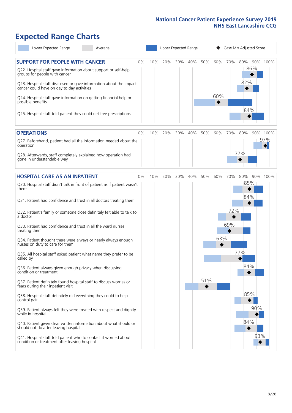# **Expected Range Charts**

| Lower Expected Range<br>Average                                                                                                                                                                                                                               |    |     |     |     | Upper Expected Range |     |     |     | Case Mix Adjusted Score |          |
|---------------------------------------------------------------------------------------------------------------------------------------------------------------------------------------------------------------------------------------------------------------|----|-----|-----|-----|----------------------|-----|-----|-----|-------------------------|----------|
| <b>SUPPORT FOR PEOPLE WITH CANCER</b><br>Q22. Hospital staff gave information about support or self-help<br>groups for people with cancer<br>Q23. Hospital staff discussed or gave information about the impact<br>cancer could have on day to day activities | 0% | 10% | 20% | 30% | 40%                  | 50% | 60% | 70% | 80%<br>86%<br>82%       | 90% 100% |
| Q24. Hospital staff gave information on getting financial help or<br>possible benefits<br>Q25. Hospital staff told patient they could get free prescriptions                                                                                                  |    |     |     |     |                      |     | 60% |     | 84%                     |          |
| <b>OPERATIONS</b>                                                                                                                                                                                                                                             | 0% | 10% | 20% | 30% | 40%                  | 50% | 60% | 70% | 80%                     | 90% 100% |
| Q27. Beforehand, patient had all the information needed about the<br>operation<br>Q28. Afterwards, staff completely explained how operation had                                                                                                               |    |     |     |     |                      |     |     |     | 77%                     | 97%      |
| gone in understandable way                                                                                                                                                                                                                                    |    |     |     |     |                      |     |     |     |                         |          |
| <b>HOSPITAL CARE AS AN INPATIENT</b>                                                                                                                                                                                                                          | 0% | 10% | 20% | 30% | 40%                  | 50% | 60% | 70% | 80%                     | 90% 100% |
| Q30. Hospital staff didn't talk in front of patient as if patient wasn't<br>there                                                                                                                                                                             |    |     |     |     |                      |     |     |     | 85%<br>84%              |          |
| Q31. Patient had confidence and trust in all doctors treating them                                                                                                                                                                                            |    |     |     |     |                      |     |     |     |                         |          |
| Q32. Patient's family or someone close definitely felt able to talk to<br>a doctor                                                                                                                                                                            |    |     |     |     |                      |     |     | 72% |                         |          |
| Q33. Patient had confidence and trust in all the ward nurses<br>treating them                                                                                                                                                                                 |    |     |     |     |                      |     |     | 69% |                         |          |
| Q34. Patient thought there were always or nearly always enough<br>nurses on duty to care for them                                                                                                                                                             |    |     |     |     |                      |     | 63% |     | 77%                     |          |
| Q35. All hospital staff asked patient what name they prefer to be<br>called by                                                                                                                                                                                |    |     |     |     |                      |     |     |     | 84%                     |          |
| Q36. Patient always given enough privacy when discussing<br>condition or treatment                                                                                                                                                                            |    |     |     |     |                      | 51% |     |     |                         |          |
| Q37. Patient definitely found hospital staff to discuss worries or<br>fears during their inpatient visit                                                                                                                                                      |    |     |     |     |                      |     |     |     |                         |          |
| Q38. Hospital staff definitely did everything they could to help<br>control pain                                                                                                                                                                              |    |     |     |     |                      |     |     |     | 85%                     |          |
| Q39. Patient always felt they were treated with respect and dignity<br>while in hospital                                                                                                                                                                      |    |     |     |     |                      |     |     |     | 90%                     |          |
| Q40. Patient given clear written information about what should or<br>should not do after leaving hospital                                                                                                                                                     |    |     |     |     |                      |     |     |     | 84%                     |          |
| Q41. Hospital staff told patient who to contact if worried about<br>condition or treatment after leaving hospital                                                                                                                                             |    |     |     |     |                      |     |     |     | 93%                     |          |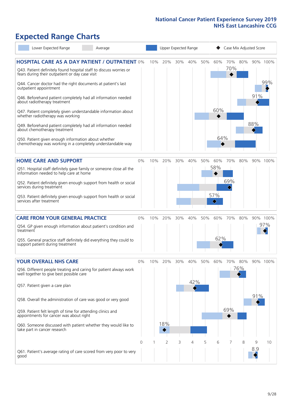# **Expected Range Charts**

| Lower Expected Range                                                                                                                                                                                                                                                                                                                                                                                                                                                                                                                                                                                                                                                                                   | Average |            |     | Upper Expected Range         |          |                 |          |                                                   |            |                 | Case Mix Adjusted Score |                 |
|--------------------------------------------------------------------------------------------------------------------------------------------------------------------------------------------------------------------------------------------------------------------------------------------------------------------------------------------------------------------------------------------------------------------------------------------------------------------------------------------------------------------------------------------------------------------------------------------------------------------------------------------------------------------------------------------------------|---------|------------|-----|------------------------------|----------|-----------------|----------|---------------------------------------------------|------------|-----------------|-------------------------|-----------------|
| <b>HOSPITAL CARE AS A DAY PATIENT / OUTPATIENT 0%</b><br>Q43. Patient definitely found hospital staff to discuss worries or<br>fears during their outpatient or day case visit<br>Q44. Cancer doctor had the right documents at patient's last<br>outpatient appointment<br>Q46. Beforehand patient completely had all information needed<br>about radiotherapy treatment<br>Q47. Patient completely given understandable information about<br>whether radiotherapy was working<br>Q49. Beforehand patient completely had all information needed<br>about chemotherapy treatment<br>Q50. Patient given enough information about whether<br>chemotherapy was working in a completely understandable way |         |            | 10% | 20%                          | 30%      | 40%             | 50%      | 60%<br>60%<br>64%                                 | 70%<br>70% | 80%             | 91%<br>88%              | 90% 100%<br>99% |
| <b>HOME CARE AND SUPPORT</b><br>Q51. Hospital staff definitely gave family or someone close all the<br>information needed to help care at home<br>Q52. Patient definitely given enough support from health or social<br>services during treatment<br>Q53. Patient definitely given enough support from health or social<br>services after treatment                                                                                                                                                                                                                                                                                                                                                    |         | 0%         | 10% | 20%                          | 30%      | 40%             | 50%      | 60%<br>58%<br>57%<br>$\color{black} \diamondsuit$ | 70%<br>69% | 80%             |                         | 90% 100%        |
| <b>CARE FROM YOUR GENERAL PRACTICE</b><br>Q54. GP given enough information about patient's condition and<br>treatment<br>Q55. General practice staff definitely did everything they could to<br>support patient during treatment                                                                                                                                                                                                                                                                                                                                                                                                                                                                       |         | 0%         | 10% | 20%                          | 30%      | 40%             | 50%      | 60%<br>62%                                        | 70%        | 80%             |                         | 90% 100%<br>97% |
| <b>YOUR OVERALL NHS CARE</b><br>Q56. Different people treating and caring for patient always work<br>well together to give best possible care<br>Q57. Patient given a care plan<br>Q58. Overall the administration of care was good or very good<br>Q59. Patient felt length of time for attending clinics and<br>appointments for cancer was about right<br>Q60. Someone discussed with patient whether they would like to<br>take part in cancer research                                                                                                                                                                                                                                            |         | $0\%$<br>0 | 10% | 20%<br>18%<br>$\overline{2}$ | 30%<br>3 | 40%<br>42%<br>4 | 50%<br>5 | 60%<br>6                                          | 70%<br>69% | 80%<br>76%<br>8 | 91%<br>9                | 90% 100%<br>10  |
| Q61. Patient's average rating of care scored from very poor to very<br>good                                                                                                                                                                                                                                                                                                                                                                                                                                                                                                                                                                                                                            |         |            |     |                              |          |                 |          |                                                   |            |                 | 8.9                     |                 |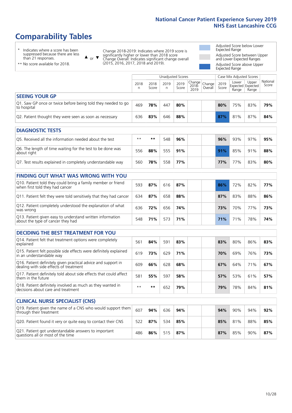### **Comparability Tables**

\* Indicates where a score has been suppressed because there are less than 21 responses.

\*\* No score available for 2018.

 $\triangle$  or  $\nabla$ 

Change 2018-2019: Indicates where 2019 score is significantly higher or lower than 2018 score Change Overall: Indicates significant change overall (2015, 2016, 2017, 2018 and 2019).

Adjusted Score below Lower Expected Range Adjusted Score between Upper and Lower Expected Ranges Adjusted Score above Upper Expected Range

|                                                                             | Case Mix Adjusted Scores<br><b>Unadjusted Scores</b> |               |           |               |                                                    |         |               |                                     |                |                   |
|-----------------------------------------------------------------------------|------------------------------------------------------|---------------|-----------|---------------|----------------------------------------------------|---------|---------------|-------------------------------------|----------------|-------------------|
|                                                                             | 2018                                                 | 2018<br>Score | 2019<br>n | 2019<br>Score | $\sim$   Change   Change   $\sim$<br>2018-<br>2019 | Overall | 2019<br>Score | Lower<br>Expected Expected<br>Range | Upper<br>Range | National<br>Score |
| <b>SEEING YOUR GP</b>                                                       |                                                      |               |           |               |                                                    |         |               |                                     |                |                   |
| Q1. Saw GP once or twice before being told they needed to go<br>to hospital | 469                                                  | 78%           | 447       | 80%           |                                                    |         | 80%           | 75%                                 | 83%            | 79%               |
| Q2. Patient thought they were seen as soon as necessary                     | 636                                                  | 83%           | 646       | 88%           |                                                    |         | 87%           | 81%                                 | 87%            | 84%               |
|                                                                             |                                                      |               |           |               |                                                    |         |               |                                     |                |                   |

| <b>DIAGNOSTIC TESTS</b>                                                   |      |     |     |     |  |     |     |     |     |
|---------------------------------------------------------------------------|------|-----|-----|-----|--|-----|-----|-----|-----|
| O5. Received all the information needed about the test                    | $**$ | **  | 548 | 96% |  | 96% | 93% | 97% | 95% |
| Q6. The length of time waiting for the test to be done was<br>about right | 556  | 88% | 555 | 91% |  | 91% | 85% | 91% | 88% |
| Q7. Test results explained in completely understandable way               | 560  | 78% | 558 | 77% |  | 77% | 77% | 83% | 80% |

| <b>FINDING OUT WHAT WAS WRONG WITH YOU</b>                                                      |     |     |     |     |     |                 |     |     |
|-------------------------------------------------------------------------------------------------|-----|-----|-----|-----|-----|-----------------|-----|-----|
| Q10. Patient told they could bring a family member or friend<br>when first told they had cancer | 593 | 87% | 616 | 87% | 86% | 72%             | 82% | 77% |
| Q11. Patient felt they were told sensitively that they had cancer                               | 634 | 87% | 658 | 88% | 87% | 83%             | 88% | 86% |
| Q12. Patient completely understood the explanation of what<br>was wrong                         | 636 | 72% | 656 | 74% | 73% | 70%             | 77% | 73% |
| Q13. Patient given easy to understand written information<br>about the type of cancer they had  | 548 | 71% | 573 | 71% | 71% | 71 <sub>%</sub> | 78% | 74% |

| <b>DECIDING THE BEST TREATMENT FOR YOU</b>                                                              |      |     |     |     |  |     |     |     |     |
|---------------------------------------------------------------------------------------------------------|------|-----|-----|-----|--|-----|-----|-----|-----|
| Q14. Patient felt that treatment options were completely<br>explained                                   | 56′  | 84% | 591 | 83% |  | 83% | 80% | 86% | 83% |
| Q15. Patient felt possible side effects were definitely explained<br>in an understandable way           | 619  | 73% | 629 | 71% |  | 70% | 69% | 76% | 73% |
| Q16. Patient definitely given practical advice and support in<br>dealing with side effects of treatment | 609  | 66% | 628 | 68% |  | 67% | 64% | 71% | 67% |
| Q17. Patient definitely told about side effects that could affect<br>them in the future                 | 581  | 55% | 597 | 58% |  | 57% | 53% | 61% | 57% |
| Q18. Patient definitely involved as much as they wanted in<br>decisions about care and treatment        | $**$ | **  | 652 | 79% |  | 79% | 78% | 84% | 81% |

| <b>CLINICAL NURSE SPECIALIST (CNS)</b>                                                    |     |     |     |     |  |     |     |     |     |
|-------------------------------------------------------------------------------------------|-----|-----|-----|-----|--|-----|-----|-----|-----|
| Q19. Patient given the name of a CNS who would support them<br>through their treatment    | 607 | 94% | 636 | 94% |  | 94% | 90% | 94% | 92% |
| Q20. Patient found it very or quite easy to contact their CNS                             | 522 | 87% | 534 | 85% |  | 85% | 81% | 88% | 85% |
| Q21. Patient got understandable answers to important<br>questions all or most of the time | 486 | 86% | 515 | 87% |  | 87% | 85% | 90% | 87% |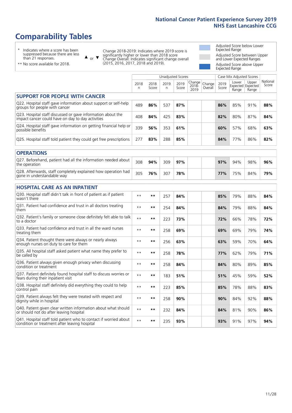### **Comparability Tables**

\* Indicates where a score has been suppressed because there are less than 21 responses.

\*\* No score available for 2018.

 $\triangle$  or  $\nabla$ 

Change 2018-2019: Indicates where 2019 score is significantly higher or lower than 2018 score Change Overall: Indicates significant change overall (2015, 2016, 2017, 2018 and 2019).

Adjusted Score below Lower Expected Range Adjusted Score between Upper and Lower Expected Ranges Adjusted Score above Upper Expected Range

|                                                                                                                   |              |               | Unadjusted Scores |               |                         |                   |               | Case Mix Adjusted Scores            |                |                   |
|-------------------------------------------------------------------------------------------------------------------|--------------|---------------|-------------------|---------------|-------------------------|-------------------|---------------|-------------------------------------|----------------|-------------------|
|                                                                                                                   | 2018<br>n    | 2018<br>Score | 2019<br>n         | 2019<br>Score | Change<br>2018-<br>2019 | Change<br>Overall | 2019<br>Score | Lower<br>Expected Expected<br>Range | Upper<br>Range | National<br>Score |
| <b>SUPPORT FOR PEOPLE WITH CANCER</b>                                                                             |              |               |                   |               |                         |                   |               |                                     |                |                   |
| Q22. Hospital staff gave information about support or self-help<br>groups for people with cancer                  | 489          | 86%           | 537               | 87%           |                         |                   | 86%           | 85%                                 | 91%            | 88%               |
| Q23. Hospital staff discussed or gave information about the<br>impact cancer could have on day to day activities  | 408          | 84%           | 425               | 83%           |                         |                   | 82%           | 80%                                 | 87%            | 84%               |
| Q24. Hospital staff gave information on getting financial help or<br>possible benefits                            | 339          | 56%           | 353               | 61%           |                         |                   | 60%           | 57%                                 | 68%            | 63%               |
| Q25. Hospital staff told patient they could get free prescriptions                                                | 277          | 83%           | 288               | 85%           |                         |                   | 84%           | 77%                                 | 86%            | 82%               |
| <b>OPERATIONS</b>                                                                                                 |              |               |                   |               |                         |                   |               |                                     |                |                   |
| Q27. Beforehand, patient had all the information needed about<br>the operation                                    | 308          | 94%           | 309               | 97%           |                         |                   | 97%           | 94%                                 | 98%            | 96%               |
| Q28. Afterwards, staff completely explained how operation had<br>gone in understandable way                       | 305          | 76%           | 307               | 78%           |                         |                   | 77%           | 75%                                 | 84%            | 79%               |
| <b>HOSPITAL CARE AS AN INPATIENT</b>                                                                              |              |               |                   |               |                         |                   |               |                                     |                |                   |
| Q30. Hospital staff didn't talk in front of patient as if patient<br>wasn't there                                 | $\star\star$ | $***$         | 257               | 84%           |                         |                   | 85%           | 79%                                 | 88%            | 84%               |
| Q31. Patient had confidence and trust in all doctors treating<br>them                                             | $\star\star$ | $***$         | 254               | 84%           |                         |                   | 84%           | 79%                                 | 88%            | 84%               |
| Q32. Patient's family or someone close definitely felt able to talk<br>to a doctor                                | $\star\star$ | $***$         | 223               | 73%           |                         |                   | 72%           | 66%                                 | 78%            | 72%               |
| Q33. Patient had confidence and trust in all the ward nurses<br>treating them                                     | $* *$        | **            | 258               | 69%           |                         |                   | 69%           | 69%                                 | 79%            | 74%               |
| Q34. Patient thought there were always or nearly always<br>enough nurses on duty to care for them                 | $**$         | $***$         | 256               | 63%           |                         |                   | 63%           | 59%                                 | 70%            | 64%               |
| Q35. All hospital staff asked patient what name they prefer to<br>be called by                                    | $**$         | $***$         | 258               | 78%           |                         |                   | 77%           | 62%                                 | 79%            | 71%               |
| Q36. Patient always given enough privacy when discussing<br>condition or treatment                                | $\star\star$ | $***$         | 258               | 84%           |                         |                   | 84%           | 80%                                 | 89%            | 85%               |
| Q37. Patient definitely found hospital staff to discuss worries or<br>fears during their inpatient visit          | $* *$        | $***$         | 183               | 51%           |                         |                   | 51%           | 45%                                 | 59%            | 52%               |
| Q38. Hospital staff definitely did everything they could to help<br>control pain                                  | $* *$        | $***$         | 223               | 85%           |                         |                   | 85%           | 78%                                 | 88%            | 83%               |
| Q39. Patient always felt they were treated with respect and<br>dignity while in hospital                          | $\star\star$ | $***$         | 258               | 90%           |                         |                   | 90%           | 84%                                 | 92%            | 88%               |
| Q40. Patient given clear written information about what should<br>or should not do after leaving hospital         | $**$         | $***$         | 232               | 84%           |                         |                   | 84%           | 81%                                 | 90%            | 86%               |
| Q41. Hospital staff told patient who to contact if worried about<br>condition or treatment after leaving hospital | $\star\star$ | $***$         | 235               | 93%           |                         |                   | 93%           | 91%                                 | 97%            | 94%               |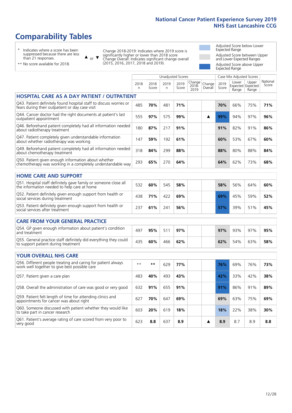### **Comparability Tables**

\* Indicates where a score has been suppressed because there are less than 21 responses.

\*\* No score available for 2018.

 $\triangle$  or  $\nabla$ 

Change 2018-2019: Indicates where 2019 score is significantly higher or lower than 2018 score Change Overall: Indicates significant change overall (2015, 2016, 2017, 2018 and 2019).

Adjusted Score below Lower Expected Range Adjusted Score between Upper and Lower Expected Ranges Adjusted Score above Upper Expected Range

|                                                                                                                       |              |               | <b>Unadjusted Scores</b> |               |                         |                   |               | Case Mix Adjusted Scores<br>Lower | Upper                      | National |
|-----------------------------------------------------------------------------------------------------------------------|--------------|---------------|--------------------------|---------------|-------------------------|-------------------|---------------|-----------------------------------|----------------------------|----------|
|                                                                                                                       | 2018<br>n.   | 2018<br>Score | 2019<br>n.               | 2019<br>Score | Change<br>2018-<br>2019 | Change<br>Overall | 2019<br>Score | Range                             | Expected Expected<br>Range | Score    |
| <b>HOSPITAL CARE AS A DAY PATIENT / OUTPATIENT</b>                                                                    |              |               |                          |               |                         |                   |               |                                   |                            |          |
| Q43. Patient definitely found hospital staff to discuss worries or<br>fears during their outpatient or day case visit | 485          | 70%           | 481                      | 71%           |                         |                   | 70%           | 66%                               | 75%                        | 71%      |
| Q44. Cancer doctor had the right documents at patient's last<br>outpatient appointment                                | 555          | 97%           | 575                      | 99%           |                         | ▲                 | 99%           | 94%                               | 97%                        | 96%      |
| Q46. Beforehand patient completely had all information needed<br>about radiotherapy treatment                         | 180          | 87%           | 217                      | 91%           |                         |                   | 91%           | 82%                               | 91%                        | 86%      |
| Q47. Patient completely given understandable information<br>about whether radiotherapy was working                    | 147          | 59%           | 192                      | 61%           |                         |                   | 60%           | 53%                               | 67%                        | 60%      |
| Q49. Beforehand patient completely had all information needed<br>about chemotherapy treatment                         | 318          | 84%           | 299                      | 88%           |                         |                   | 88%           | 80%                               | 88%                        | 84%      |
| Q50. Patient given enough information about whether<br>chemotherapy was working in a completely understandable way    | 293          | 65%           | 270                      | 64%           |                         |                   | 64%           | 62%                               | 73%                        | 68%      |
| <b>HOME CARE AND SUPPORT</b>                                                                                          |              |               |                          |               |                         |                   |               |                                   |                            |          |
| Q51. Hospital staff definitely gave family or someone close all<br>the information needed to help care at home        | 532          | 60%           | 545                      | 58%           |                         |                   | 58%           | 56%                               | 64%                        | 60%      |
| Q52. Patient definitely given enough support from health or<br>social services during treatment                       | 438          | 71%           | 422                      | 69%           |                         |                   | 69%           | 45%                               | 59%                        | 52%      |
| Q53. Patient definitely given enough support from health or<br>social services after treatment                        | 237          | 61%           | 241                      | 56%           |                         |                   | 57%           | 39%                               | 51%                        | 45%      |
|                                                                                                                       |              |               |                          |               |                         |                   |               |                                   |                            |          |
| <b>CARE FROM YOUR GENERAL PRACTICE</b>                                                                                |              |               |                          |               |                         |                   |               |                                   |                            |          |
| Q54. GP given enough information about patient's condition<br>and treatment                                           | 497          | 95%           | 511                      | 97%           |                         |                   | 97%           | 93%                               | 97%                        | 95%      |
| Q55. General practice staff definitely did everything they could<br>to support patient during treatment               | 435          | 60%           | 466                      | 62%           |                         |                   | 62%           | 54%                               | 63%                        | 58%      |
| <b>YOUR OVERALL NHS CARE</b>                                                                                          |              |               |                          |               |                         |                   |               |                                   |                            |          |
| Q56. Different people treating and caring for patient always<br>work well together to give best possible care         | $\star\star$ | $***$         | 629                      | 77%           |                         |                   | 76%           | 69%                               | 76%                        | 73%      |
| Q57. Patient given a care plan                                                                                        | 483          | 40%           | 493                      | 43%           |                         |                   | 42%           | 33%                               | 42%                        | 38%      |
| Q58. Overall the administration of care was good or very good                                                         | 632          | 91%           | 655                      | 91%           |                         |                   | 91%           | 86%                               | 91%                        | 89%      |
| Q59. Patient felt length of time for attending clinics and<br>appointments for cancer was about right                 | 627          | 70%           | 647                      | 69%           |                         |                   | 69%           | 63%                               | 75%                        | 69%      |
| Q60. Someone discussed with patient whether they would like<br>to take part in cancer research                        | 603          | 20%           | 619                      | 18%           |                         |                   | 18%           | 22%                               | 38%                        | 30%      |
| Q61. Patient's average rating of care scored from very poor to<br>very good                                           | 623          | 8.8           | 637                      | 8.9           |                         | ▲                 | 8.9           | 8.7                               | 8.9                        | 8.8      |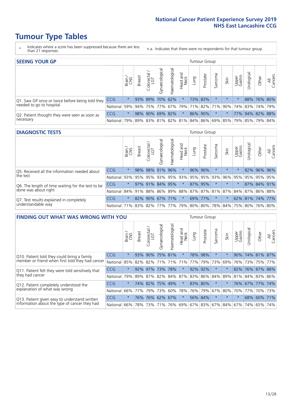### **Tumour Type Tables**

- \* Indicates where a score has been suppressed because there are less than 21 responses.
- n.a. Indicates that there were no respondents for that tumour group.

| <b>SEEING YOUR GP</b>                           |            |         |               |            |                   |                |                  |      | Tumour Group |         |         |                 |                                                     |             |                |
|-------------------------------------------------|------------|---------|---------------|------------|-------------------|----------------|------------------|------|--------------|---------|---------|-----------------|-----------------------------------------------------|-------------|----------------|
|                                                 |            | Brain   | <b>Breast</b> | Colorectal | ত<br>Gynaecologic | Haematological | Head and<br>Neck | Lung | Prostate     | Sarcoma | Skin    | Upper<br>Gastro | $\sigma$<br>Jrologica                               | Other       | All<br>Cancers |
| Q1. Saw GP once or twice before being told they | <b>CCG</b> | $\star$ |               | 93% 89%    | 70% 62%           |                | $\star$          |      | 73% 83%      |         | $\star$ |                 |                                                     | 88% 76% 80% |                |
| needed to go to hospital                        | National   | 59%     |               |            |                   |                |                  |      |              |         |         |                 | 94% 75% 77% 67% 79% 71% 82% 71% 90% 74% 83% 74% 79% |             |                |
| Q2. Patient thought they were seen as soon as   | <b>CCG</b> | $\star$ |               |            | 98% 90% 69% 82%   |                | $\star$          |      | 86% 90%      | $\star$ |         |                 | 77% 94% 82% 88%                                     |             |                |
| necessary                                       | National   | 79%     |               |            |                   |                |                  |      |              |         |         |                 | 89% 83% 81% 82% 81% 84% 86% 69% 85% 79% 85% 79%     |             | 84%            |

#### **DIAGNOSTIC TESTS** Tumour Group

|                                                   |                                                                  | Brain   | <b>Breast</b> | Colorectal<br>LGT | $\overline{\sigma}$<br>Gynaecologic | Haematological | Head and<br>Neck | Lung | Prostate | Sarcoma                 | Skin    | Upper<br>Gastro | rological                                               | Other       | All<br>Cancers |
|---------------------------------------------------|------------------------------------------------------------------|---------|---------------|-------------------|-------------------------------------|----------------|------------------|------|----------|-------------------------|---------|-----------------|---------------------------------------------------------|-------------|----------------|
| Q5. Received all the information needed about     | CCG                                                              | $\star$ | 98%           | 98%               | 91%                                 | 96%            | $\ast$           |      | 96% 96%  |                         | $\star$ | $\star$         |                                                         | 82% 96% 96% |                |
| the test                                          | National                                                         | 93%     |               | 95% 95%           |                                     |                |                  |      |          | 93% 95% 93% 95% 95% 93% | 96%     | 95%             |                                                         | 95% 95% 95% |                |
| Q6. The length of time waiting for the test to be | <b>CCG</b>                                                       | $\star$ |               | $97\%$ 91%        | 84% 95%                             |                | $\star$          |      | 87% 95%  |                         | $\star$ | $\star$         |                                                         | 87% 84% 91% |                |
| done was about right                              | National                                                         |         |               |                   |                                     |                |                  |      |          |                         |         |                 | 84% 91% 88% 86% 89% 88% 87% 87% 81% 87% 84% 87% 86% 88% |             |                |
| Q7. Test results explained in completely          | <b>CCG</b>                                                       | $\star$ |               | 82% 90% 67% 71%   |                                     |                | $\star$          |      | 69% 77%  | $\star$                 |         |                 | 62% 81% 74% 77%                                         |             |                |
| understandable way                                | National 71% 83% 82% 77% 77% 79% 80% 80% 78% 84% 75% 80% 76% 80% |         |               |                   |                                     |                |                  |      |          |                         |         |                 |                                                         |             |                |

| <b>FINDING OUT WHAT WAS WRONG WITH YOU</b>        |            |         |               |                             |                     |                   |                  |             | <b>Tumour Group</b> |         |         |                 |            |         |                |
|---------------------------------------------------|------------|---------|---------------|-----------------------------|---------------------|-------------------|------------------|-------------|---------------------|---------|---------|-----------------|------------|---------|----------------|
|                                                   |            | Brain   | <b>Breast</b> | olorectal.<br>LGT<br>$\cup$ | Gynaecological      | aematologica<br>Ĩ | Head and<br>Neck | Lung        | Prostate            | Sarcoma | Skin    | Upper<br>Gastro | Urological | Other   | All<br>Cancers |
| Q10. Patient told they could bring a family       | CCG        | $\star$ | 93%           | 90%                         | 75%                 | 81%               | $\star$          | 78%         | 98%                 | $\ast$  | $\ast$  | 90%             | 74%        | 81%     | 87%            |
| member or friend when first told they had cancer  | National   | 85%     | 82%           | 82%                         | 71%                 | 71%               | 71%              | 77%         | 79%                 | 73%     | 69%     | 76%             | 73%        | 75%     | 77%            |
| Q11. Patient felt they were told sensitively that | CCG        | $\star$ |               | $92\%$ 97%                  | 73%                 | 78%               | $\star$          |             | 92% 92%             | $\ast$  | $\star$ | 82%             | 76%        | 87% 88% |                |
| they had cancer                                   | National   | 79%     |               |                             | 89% 87% 82% 84% 87% |                   |                  | 83% 86%     |                     | 84%     | 89%     | 81% 84% 83%     |            |         | 86%            |
| Q12. Patient completely understood the            | <b>CCG</b> | $\star$ | 74%           | 82%                         | 75%                 | 49%               | $\star$          | 83% 80%     |                     | $\ast$  | $\star$ | 76%             | 67%        | 77%     | 74%            |
| explanation of what was wrong                     | National   | 66%     | 77%           | 79%                         | 73%                 | 60%               |                  | 78% 76% 79% |                     | 67%     | 80%     | 70%             | 77%        |         | 70% 73%        |
| Q13. Patient given easy to understand written     | CCG        | $\star$ | 76%           | 76%                         | 62%                 | 67%               | $\star$          |             | 56% 84%             | $\ast$  | $\star$ | $\star$         | 68%        | 60%     | 71%            |
| information about the type of cancer they had     | National   | 66%     | 78%           | 73%                         | 71%                 | 76%               |                  | 69% 67% 83% |                     |         | 67% 84% | 67%             | 74%        | 65%     | 74%            |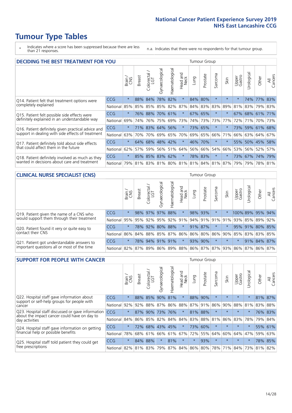### **Tumour Type Tables**

- \* Indicates where a score has been suppressed because there are less than 21 responses.
- n.a. Indicates that there were no respondents for that tumour group.

| <b>DECIDING THE BEST TREATMENT FOR YOU</b>         |            |         |               |                       | <b>Tumour Group</b><br>Haematological<br>Gynaecological<br>Jrological<br>ad and<br>Neck<br>Sarcoma<br>Prostate<br>All<br>Cancers<br>Upper<br>Gastro<br>Other<br>Lung<br>Skin<br>Head<br>78%<br>$\star$<br>$\star$<br>82%<br>84%<br>80%<br>74% 77%<br>$\star$<br>$\star$<br>83%<br>84% 83%<br>85% 82%<br>87%<br>83%<br>89%<br>81%<br>83% 79% 83%<br>70%<br>$\ast$<br>67% 65%<br>$^\star$<br>67% 68% 61% 71%<br>61% |         |         |     |         |                                     |         |     |     |             |     |  |
|----------------------------------------------------|------------|---------|---------------|-----------------------|-------------------------------------------------------------------------------------------------------------------------------------------------------------------------------------------------------------------------------------------------------------------------------------------------------------------------------------------------------------------------------------------------------------------|---------|---------|-----|---------|-------------------------------------|---------|-----|-----|-------------|-----|--|
|                                                    |            | Brain   | <b>Breast</b> | olorectal<br>LGT<br>Ũ |                                                                                                                                                                                                                                                                                                                                                                                                                   |         |         |     |         |                                     |         |     |     |             |     |  |
| Q14. Patient felt that treatment options were      | CCG        | $\star$ |               | 88% 84%               |                                                                                                                                                                                                                                                                                                                                                                                                                   |         |         |     |         |                                     |         |     |     |             |     |  |
| completely explained                               | National   | 85%     | 85%           | 85%                   |                                                                                                                                                                                                                                                                                                                                                                                                                   |         |         |     |         |                                     |         |     |     |             |     |  |
| Q15. Patient felt possible side effects were       | <b>CCG</b> | $\star$ | 76%           | 88%                   |                                                                                                                                                                                                                                                                                                                                                                                                                   |         |         |     |         |                                     |         |     |     |             |     |  |
| definitely explained in an understandable way      | National   | 69%     | 74%           | 76%                   | 75%                                                                                                                                                                                                                                                                                                                                                                                                               | 69%     | 73%     |     | 74% 73% | 73%                                 | 77%     | 72% | 71% | 70% 73%     |     |  |
| Q16. Patient definitely given practical advice and | <b>CCG</b> | $\star$ | 71%           | 83%                   | 64%                                                                                                                                                                                                                                                                                                                                                                                                               | 56%     | $\star$ |     | 73% 65% | $\star$                             |         | 73% |     | 59% 61% 68% |     |  |
| support in dealing with side effects of treatment  | National   | 63%     | 70%           | 70%                   |                                                                                                                                                                                                                                                                                                                                                                                                                   | 69% 65% | 70%     |     | 69% 65% | 66%                                 | 71%     | 66% |     | 63% 64%     | 67% |  |
| Q17. Patient definitely told about side effects    | <b>CCG</b> | $\star$ | 64%           | 68%                   | 48% 42%                                                                                                                                                                                                                                                                                                                                                                                                           |         | $\star$ | 46% | 70%     | $\ast$                              |         | 55% |     | 50% 45%     | 58% |  |
| that could affect them in the future               | National   | 62%     | 57%           | 59%                   |                                                                                                                                                                                                                                                                                                                                                                                                                   | 56% 51% | 64%     |     | 56% 66% | 54%                                 | 66%     | 53% |     | 56% 52%     | 57% |  |
| Q18. Patient definitely involved as much as they   | CCG        | $\star$ |               | 85% 85% 83% 62%       |                                                                                                                                                                                                                                                                                                                                                                                                                   |         | $\ast$  |     | 78% 83% | $\ast$                              | $\star$ | 73% |     | 67% 74% 79% |     |  |
| wanted in decisions about care and treatment       | National I | 79%     |               |                       |                                                                                                                                                                                                                                                                                                                                                                                                                   |         |         |     |         | 81% 83% 81% 80% 81% 81% 84% 81% 87% |         | 79% |     | 79% 78% 81% |     |  |

#### **CLINICAL NURSE SPECIALIST (CNS)** Tumour Group

|                                             |          | Brain   | <b>Breast</b> | olorectal<br>LGT<br>$\cup$ | aecologica<br>ĞŘ | $\overline{\sigma}$<br>Ü<br>aematologi | Head and<br>Neck        | Lung    | Prostate | Sarcoma  | Skin    | Upper<br>Gastro                             | $\sigma$<br>rologica | Other                                               | All<br>ancers<br>$\cup$ |
|---------------------------------------------|----------|---------|---------------|----------------------------|------------------|----------------------------------------|-------------------------|---------|----------|----------|---------|---------------------------------------------|----------------------|-----------------------------------------------------|-------------------------|
| Q19. Patient given the name of a CNS who    | CCG      | $\star$ |               | 98% 97%                    | 97%              | 88%                                    | $\star$                 | 98% 93% |          | $^\star$ |         |                                             |                      | 100% 89% 95% 94%                                    |                         |
| would support them through their treatment  | National |         |               |                            |                  |                                        | 95% 95% 92% 95% 92% 91% |         |          |          |         |                                             |                      | 94%   91%   91%   91%   93%   85%   89%             | 92%                     |
| Q20. Patient found it very or quite easy to | CCG      | $\star$ |               |                            | 78% 92% 80%      | 88%                                    | $\star$                 | 91% 87% |          | $\ast$   | $\star$ |                                             |                      | 95% 91% 80% 85%                                     |                         |
| contact their CNS                           | National |         |               |                            |                  |                                        |                         |         |          |          |         | 86% 84% 88% 85% 87% 86% 86% 80% 86% 90% 85% |                      | 83% 83%                                             | 85%                     |
| Q21. Patient got understandable answers to  | CCG      | $\star$ | 78%           |                            | 94% 91%          | 91%                                    | $\star$                 | 93% 90% |          | $\star$  | $\star$ | $\star$                                     |                      | 91% 84%                                             | 87%                     |
| important questions all or most of the time | National |         |               |                            | 82% 87% 89% 86%  |                                        |                         |         |          |          |         |                                             |                      | 89%   88%   86%   87%   87%   93%   86%   87%   86% | 87%                     |

| <b>SUPPORT FOR PEOPLE WITH CANCER</b>                                                             |            |         |               |            |                |                |                         |         | <b>Tumour Group</b> |         |         |                 |            |       |                |
|---------------------------------------------------------------------------------------------------|------------|---------|---------------|------------|----------------|----------------|-------------------------|---------|---------------------|---------|---------|-----------------|------------|-------|----------------|
|                                                                                                   |            | Brain   | <b>Breast</b> | Colorectal | Gynaecological | Haematological | ead and<br>Neck<br>Head | Lung    | Prostate            | Sarcoma | Skin    | Upper<br>Gastro | Irological | Other | All<br>Cancers |
| Q22. Hospital staff gave information about<br>support or self-help groups for people with         | <b>CCG</b> | $\star$ | 88%           | 85%        | 90%            | 81%            | $\star$                 | 88%     | 90%                 | $\star$ | $\star$ | $\star$         | $\star$    | 81%   | 87%            |
| cancer                                                                                            | National   | 92%     | 92%           | 88%        | 87%            | 86%            | 88%                     |         | 87% 91%             | 86%     | 90%     | 88%             | 81%        | 83%   | 88%            |
| Q23. Hospital staff discussed or gave information<br>about the impact cancer could have on day to | CCG        | $\star$ | 87%           | 90%        | 73%            | 76%            | $\star$                 | 81%     | 88%                 | $\star$ | $\star$ | $\star$         | $^\star$   |       | 76% 83%        |
| day activities                                                                                    | National   | 84%     | 86%           | 85%        | 82%            | 84%            | 84%                     |         | 83% 88%             | 81%     | 86%     | 83%             | 78%        | 79%   | 84%            |
| Q24. Hospital staff gave information on getting                                                   | CCG        | $\star$ | 72%           |            | 68% 43%        | 45%            | $\ast$                  |         | 73% 60%             | $\star$ | $\star$ | $\star$         | $\star$    |       | 55% 61%        |
| financial help or possible benefits                                                               | National   | 78%     |               | 68% 61%    | 66%            | 61% 67%        |                         | 72%     | 55%                 | 64%     | 60%     | 64%             | 47%        | 59%   | 63%            |
| Q25. Hospital staff told patient they could get                                                   | <b>CCG</b> | $\star$ | 84%           | 88%        | $\star$        | 81%            | $\star$                 | $\star$ | 93%                 | $\star$ | $\star$ | $\star$         | $\star$    |       | 78% 85%        |
| free prescriptions                                                                                | National   | 82%     | 81% 83%       |            | 79%            |                | 87% 84% 86% 80%         |         |                     | 78%     | 71%     | 84%             | 73%        | 81%   | 82%            |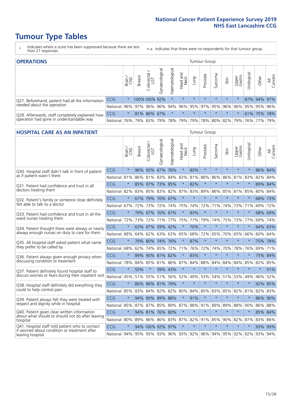### **Tumour Type Tables**

- \* Indicates where a score has been suppressed because there are less than 21 responses.
- n.a. Indicates that there were no respondents for that tumour group.

| <b>OPERATIONS</b>                                |              |               |               |               |                |                |                                         |         | Tumour Group |         |         |                 |                |             |                |
|--------------------------------------------------|--------------|---------------|---------------|---------------|----------------|----------------|-----------------------------------------|---------|--------------|---------|---------|-----------------|----------------|-------------|----------------|
|                                                  |              | Brain.<br>CNS | <b>Breast</b> | Colorectal    | Gynaecological | Haematological | Head and<br>Neck                        | Lung    | Prostate     | Sarcoma | Skin    | Upper<br>Gastro | σ<br>Jrologica | Other       | All<br>Cancers |
| Q27. Beforehand, patient had all the information | <b>CCG</b>   | $\star$       |               | 100% 100% 92% |                |                | $\star$                                 | $\star$ | $\star$      | $\star$ | $\star$ | $\star$         |                | 87% 94% 97% |                |
| needed about the operation                       | National     | 96%           |               | 97% 96%       |                |                | 96% 94% 96% 95% 97% 95% 96%             |         |              |         |         | 96%             |                | 95% 95% 96% |                |
| Q28. Afterwards, staff completely explained how  | <b>CCG</b>   | $\star$       |               | 81% 86% 67%   |                |                | $\star$                                 | $\star$ | $\star$      | $\star$ | $\star$ | $\star$         |                | 61% 75% 78% |                |
| operation had gone in understandable way         | National 76% |               |               |               |                |                | 79% 83% 79% 78% 79% 79% 78% 80% 82% 79% |         |              |         |         |                 |                | 76% 77% 79% |                |

#### **HOSPITAL CARE AS AN INPATIENT** Tumour Group

|                                                                                                   |                                                                  | Brain   | Breast | Colorectal /<br>LGT | Gynaecological | Haematological          | Head and<br>Neck | Lung    | Prostate | Sarcoma | Skin    | Upper<br>Gastro | Urological | Other   | All<br>Cancers |
|---------------------------------------------------------------------------------------------------|------------------------------------------------------------------|---------|--------|---------------------|----------------|-------------------------|------------------|---------|----------|---------|---------|-----------------|------------|---------|----------------|
| Q30. Hospital staff didn't talk in front of patient                                               | CCG                                                              | $\star$ | 96%    | 93%                 | 67%            | 76%                     | $\star$          | 83%     | $\star$  | $\star$ | $\star$ | $\star$         | $\star$    | 86% 84% |                |
| as if patient wasn't there                                                                        | National                                                         | 81%     | 86%    | 81%                 | 83%            | 84%                     | 83%              | 81%     | 88%      | 86%     | 86%     | 81%             | 83%        | 82%     | 84%            |
| Q31. Patient had confidence and trust in all                                                      | CCG                                                              | $\star$ | 85%    | 97%                 | 73% 85%        |                         | $\star$          | 82%     | $\star$  | $\star$ | $\star$ |                 | $\star$    | 89% 84% |                |
| doctors treating them                                                                             | National                                                         | 82%     |        | 83% 85%             |                | 83% 82% 87% 83%         |                  |         | 89%      | 86%     |         | 85% 81% 85%     |            | 80% 84% |                |
| Q32. Patient's family or someone close definitely                                                 | CCG                                                              | $\star$ | 67%    | 79%                 | 70% 67%        |                         | $\star$          | $\star$ | $\star$  | $\star$ | $\star$ | $\star$         | $\star$    | 68% 73% |                |
| felt able to talk to a doctor                                                                     | National                                                         | 67%     | 72%    | 73%                 | 72%            | 74%                     | 75%              | 74%     | 72%      | 71%     | 74%     | 73%             | 71%        | 69%     | 72%            |
| Q33. Patient had confidence and trust in all the<br>ward nurses treating them                     | CCG                                                              | $\star$ |        | 79% 67% 70% 67%     |                |                         | $\star$          | 83%     | $\star$  | $\star$ | $\star$ | $\star$         | $\star$    | 68% 69% |                |
|                                                                                                   | National                                                         | 72%     | 73%    | 72%                 | 71%            | 77%                     | 75%              | 77%     | 79%      | 74%     | 75%     | 73%             | 77%        | 69%     | 74%            |
| Q34. Patient thought there were always or nearly<br>always enough nurses on duty to care for them | CCG                                                              | $\star$ | 63%    | 67%                 | 59%            | 42%                     | $\star$          | 70%     | $\star$  | $\star$ | $\star$ | $\star$         | $\star$    | 64% 63% |                |
|                                                                                                   | National                                                         | 68%     | 64%    | 62%                 | 63%            | 63%                     | 65%              | 68%     | 72%      | 65%     | 70%     | 65%             | 66%        | 60%     | 64%            |
| Q35. All hospital staff asked patient what name                                                   | CCG                                                              | $\star$ | 79%    | 80% 74% 76%         |                |                         | $\star$          | 87%     | $\star$  | $\star$ | $\star$ | $\star$         | $\star$    | 75% 78% |                |
| they prefer to be called by                                                                       | National                                                         | 68%     | 62%    | 74%                 | 65%            | 72%                     | 71%              | 76%     | 72%      | 74%     | 70%     | 78%             | 76%        | 69%     | 71%            |
| Q36. Patient always given enough privacy when                                                     | CCG                                                              | $\star$ | 89%    |                     | 90% 81%        | 82%                     | $\star$          | 83%     | $\star$  | $\star$ | $\star$ | $\star$         | $\star$    | 75% 84% |                |
| discussing condition or treatment                                                                 | National                                                         | 78%     |        |                     |                | 84% 85% 81% 86% 87% 84% |                  |         | 88%      | 84%     | 84%     | 84%             | 85%        | 82% 85% |                |
| Q37. Patient definitely found hospital staff to                                                   | CCG                                                              | $\star$ | 55%    | $\star$             |                | 39% 43%                 | $\star$          | $\star$ | $\star$  | $\star$ | $\star$ | $\star$         | $\star$    | $\star$ | 51%            |
| discuss worries or fears during their inpatient visit                                             | National                                                         | 45%     |        |                     |                | 51% 55% 51% 56%         |                  | 52% 49% | 53%      | 54%     |         | 51% 53%         | 49%        | 46%     | 52%            |
| Q38. Hospital staff definitely did everything they                                                | CCG                                                              | $\star$ |        | 86% 86% 81% 79%     |                |                         | $\star$          | $\star$ | $\star$  | $\star$ | $\star$ | $\star$         | $\star$    | 92% 85% |                |
| could to help control pain                                                                        | National                                                         | 85%     | 83%    | 84%                 |                | 82% 82% 80%             |                  | 84%     | 85%      | 83%     | 85%     | 82%             | 81%        | 82% 83% |                |
| Q39. Patient always felt they were treated with                                                   | CCG                                                              | $\star$ | 94%    |                     | 90% 89% 88%    |                         | $\star$          | 91%     | $\star$  | $\star$ | $\star$ | $\star$         | $\star$    | 86%     | 90%            |
| respect and dignity while in hospital                                                             | National                                                         | 85%     | 87%    | 87%                 | 85%            | 89%                     | 87%              | 88%     | 91%      | 89%     | 89%     | 88%             | 90%        | 86%     | 88%            |
| Q40. Patient given clear written information<br>about what should or should not do after leaving  | CCG                                                              | $\star$ |        | 94% 81%             | 76%            | 80%                     | $\star$          | $\star$ | $\star$  | $\star$ | $\star$ | $\star$         | $\star$    | 85% 84% |                |
| hospital                                                                                          | National 80%                                                     |         | 89%    | 86% 86%             |                | 83%                     |                  | 87% 82% | 91%      | 85%     | 90%     | 82%             | 87%        | 83% 86% |                |
| Q41. Hospital staff told patient who to contact<br>if worried about condition or treatment after  | CCG                                                              | $\star$ |        | 94% 100% 92% 97%    |                |                         | $\star$          | $\star$ | $\star$  | $\star$ | $\star$ | $\star$         | $\star$    | 93% 93% |                |
| leaving hospital                                                                                  | National 94% 95% 95% 93% 96% 93% 92% 96% 94% 95% 92% 92% 93% 94% |         |        |                     |                |                         |                  |         |          |         |         |                 |            |         |                |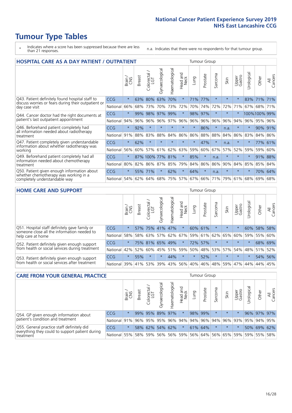## **Tumour Type Tables**

- \* Indicates where a score has been suppressed because there are less than 21 responses.
- n.a. Indicates that there were no respondents for that tumour group.

| <b>HOSPITAL CARE AS A DAY PATIENT / OUTPATIENT</b>                                                                    |            |         |               |                 |                |                |                         |         | <b>Tumour Group</b> |         |         |                 |            |             |                |  |  |  |  |  |
|-----------------------------------------------------------------------------------------------------------------------|------------|---------|---------------|-----------------|----------------|----------------|-------------------------|---------|---------------------|---------|---------|-----------------|------------|-------------|----------------|--|--|--|--|--|
|                                                                                                                       |            | Brain   | <b>Breast</b> | ╮<br>Colorectal | Gynaecological | Haematological | ead and<br>Neck<br>Head | Lung    | Prostate            | Sarcoma | Skin    | Upper<br>Gastro | Urological | Other       | All<br>Cancers |  |  |  |  |  |
| Q43. Patient definitely found hospital staff to                                                                       | CCG        | $\star$ | 63%           | 80%             | 63%            | 70%            | $\star$                 | 71%     | 77%                 | $\star$ | $\star$ | $\star$         | 83%        | 71%         | 71%            |  |  |  |  |  |
| discuss worries or fears during their outpatient or<br>day case visit                                                 | National   | 66%     | 68%           | 73%             | 70%            | 73%            | 72%                     | 70%     | 74%                 | 72%     | 72%     | 71%             | 67%        | 68%         | 71%            |  |  |  |  |  |
| Q44. Cancer doctor had the right documents at<br>patient's last outpatient appointment                                | CCG        | $\star$ | 99%           | 98%             | 97%            | 99%            | $\star$                 | 98%     | 97%                 | $\star$ |         |                 |            | 100%100%99% |                |  |  |  |  |  |
|                                                                                                                       | National   | 94%     | 96%           | 96%             | 96%            | 97%            | 96%                     | 96%     | 96%                 | 96%     | 96%     | 94%             | $96\%$     | 95%         | 96%            |  |  |  |  |  |
| Q46. Beforehand patient completely had                                                                                | <b>CCG</b> | $\star$ | 92%           | $\star$         | $\star$        | $\star$        | $\star$                 | $\star$ | 86%                 | $\star$ | n.a.    | $\star$         | $\star$    | 90% 91%     |                |  |  |  |  |  |
| all information needed about radiotherapy<br>treatment                                                                | National   | 91%     | 88%           | 83%             | 88%            | 84%            | 86%                     | 86%     | 88%                 | 88%     | 84%     | 86%             | 83%        | 84%         | 86%            |  |  |  |  |  |
| Q47. Patient completely given understandable                                                                          | CCG        | $\star$ | 62%           | $\star$         |                |                | $\star$                 | $\star$ | 47%                 | $\star$ | n.a.    | $\star$         |            | 77%         | 61%            |  |  |  |  |  |
| information about whether radiotherapy was<br>working                                                                 | National   | 56%     | 60%           | 57%             | 61%            | 62%            | 63%                     | 59%     | 60%                 | 67%     | 57%     | 52%             | 59%        | 59%         | 60%            |  |  |  |  |  |
| Q49. Beforehand patient completely had all                                                                            | CCG        | $\star$ |               | 87% 100% 77%    |                | 81%            | $\star$                 | 85%     | $\star$             | n.a.    |         | $\star$         | $\star$    | 91%         | 88%            |  |  |  |  |  |
| information needed about chemotherapy<br>treatment                                                                    | National   | 80%     | 82%           | 86%             | 87%            | 85%            | 79%                     | 84%     | 86%                 | 86%     | 90%     | 84%             | 85%        | 85%         | 84%            |  |  |  |  |  |
| Q50. Patient given enough information about<br>whether chemotherapy was working in a<br>completely understandable way | <b>CCG</b> | $\star$ | 55%           | 71%             | $\star$        | 62%            | $\star$                 | 64%     | $\star$             | n.a.    | $\star$ | $\star$         | $\star$    | 70%         | 64%            |  |  |  |  |  |
|                                                                                                                       | National   | 54%     | 62%           | 64%             | 68%            | 75%            | 57%                     | 67%     | 66%                 | 71%     | 79%     | 61%             | 68%        | 69%         | 68%            |  |  |  |  |  |

#### **HOME CARE AND SUPPORT** Tumour Group

|                                                                                                                   |            | Brain   | <b>Breast</b> | Colorectal<br>LGT | $\sigma$<br>Gynaecologic | Haematological | Head and<br>Neck | <b>Lung</b> | Prostate | Sarcoma | Skin            | Upper<br>Gastro | Urological | Other   | All<br>Cancers |
|-------------------------------------------------------------------------------------------------------------------|------------|---------|---------------|-------------------|--------------------------|----------------|------------------|-------------|----------|---------|-----------------|-----------------|------------|---------|----------------|
| Q51. Hospital staff definitely gave family or<br>someone close all the information needed to<br>help care at home | <b>CCG</b> | $\star$ | 57%           | 75%               | 41%                      | 47%            | $\star$          |             | 60% 61%  |         | $\star$         | $\star$         | 60%        | 58%     | 58%            |
|                                                                                                                   | National   | 58%     |               | 58% 63%           | 57%                      |                | 62% 67%          |             |          |         | 59% 61% 62% 65% | 60%             | 59%        | 55%     | 60%            |
| Q52. Patient definitely given enough support<br>from health or social services during treatment                   | <b>CCG</b> | $\star$ |               | 75% 81% 65% 49%   |                          |                | $\star$          |             | 72% 57%  |         | $\star$         | $\star$         |            | 68% 69% |                |
|                                                                                                                   | National   | 42%     | 52%           | 60%               |                          | 45% 51%        | 59%              | 50%         | 48%      |         | 53% 57%         |                 | 54% 48%    | 51%     | 52%            |
| Q53. Patient definitely given enough support<br>from health or social services after treatment                    | <b>CCG</b> | $\star$ | 55%           |                   | $\star$                  | 44%            | $\star$          | $\star$     | 52%      |         | $\star$         | $\star$         | $\star$    | 54%     | 56%            |
|                                                                                                                   | National   | 39%     | 41% 53%       |                   | 39%                      | $ 43\% $       | 56%              | 40%         | 46%      | 48%     | 59%             | 47%             | 44%        | 44%     | 45%            |

| <b>CARE FROM YOUR GENERAL PRACTICE</b>                                                                     |              |         |               |                        |                 | <b>Tumour Group</b> |                                                         |      |          |         |         |                 |                       |             |                |
|------------------------------------------------------------------------------------------------------------|--------------|---------|---------------|------------------------|-----------------|---------------------|---------------------------------------------------------|------|----------|---------|---------|-----------------|-----------------------|-------------|----------------|
|                                                                                                            |              | Brain,  | <b>Breast</b> | ╮<br>Colorectal<br>LGT | Gynaecologica   | Haematological      | Head and<br>Neck                                        | Lung | Prostate | Sarcoma | Skin    | Upper<br>Gastro | $\sigma$<br>Urologica | Other       | All<br>Cancers |
| Q54. GP given enough information about<br>patient's condition and treatment                                | CCG          | $\star$ |               |                        | 99% 95% 89% 97% |                     | $\star$                                                 |      | 98% 99%  |         | $\star$ | $\star$         |                       | 96% 97% 97% |                |
|                                                                                                            | National 91% |         |               |                        |                 |                     | 96% 95% 95% 96% 94% 94% 96% 94% 96% 93% 93% 95% 94% 95% |      |          |         |         |                 |                       |             |                |
| Q55. General practice staff definitely did<br>everything they could to support patient during<br>treatment | <b>CCG</b>   | $\star$ |               | 58% 62%                |                 | 54% 62%             | $\star$                                                 |      | 61% 64%  |         | $\star$ | $\star$         |                       | 50% 69% 62% |                |
|                                                                                                            | National 55% |         |               | 58% 59%                |                 |                     | 56%   56%   59%   56%   64%   56%   65%   59%           |      |          |         |         |                 |                       | 59% 55% 58% |                |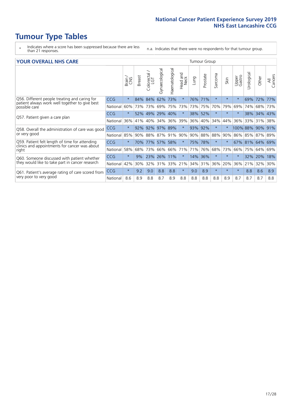### **Tumour Type Tables**

- \* Indicates where a score has been suppressed because there are less than 21 responses.
- n.a. Indicates that there were no respondents for that tumour group.

#### **YOUR OVERALL NHS CARE** THE TWO CONTROLLER THE THE THROUP CHANGE THE TUMOUR GROUP

|                                                                             |            | Brain   | <b>Breast</b> | Colorectal | Gynaecological | Haematological | aad and<br>Neck<br>Head | Lung    | Prostate | Sarcoma | Skin    | Upper<br>Gastro | $\overline{c}$<br>Urologic | Other           | All<br>Cancers |
|-----------------------------------------------------------------------------|------------|---------|---------------|------------|----------------|----------------|-------------------------|---------|----------|---------|---------|-----------------|----------------------------|-----------------|----------------|
| Q56. Different people treating and caring for                               | <b>CCG</b> | $\star$ | 84%           | 84%        | 62%            | 73%            | $\star$                 | 76% 71% |          | $\star$ | $\star$ | $\star$         | 69%                        | 72%             | 77%            |
| patient always work well together to give best<br>possible care             | National   | 60%     |               | 73% 73%    | 69%            | 75%            | 73%                     |         | 73% 75%  | 70%     | 79%     | 69%             | 74%                        | 68%             | 73%            |
| Q57. Patient given a care plan                                              | <b>CCG</b> | $\star$ | 52%           | 49%        | 29% 40%        |                | $\star$                 | 38% 52% |          | $\star$ | $\star$ |                 | 38%                        | 34% 43%         |                |
|                                                                             | National   | 36%     | 41%           | 40%        | 34%            | 36%            | 39%                     | 36%     | 40%      | 34%     | 44%     | 36%             | 33%                        | 31%             | 38%            |
| Q58. Overall the administration of care was good                            | <b>CCG</b> | $\star$ | 92%           | 92%        | 97%            | 89%            | $\star$                 | 93%     | 92%      | $\star$ | $\star$ | 100% 88%        |                            | 90%             | 91%            |
| or very good                                                                | National   | 85%     | $90\%$        | 88%        | 87%            | 91%            | 90%                     | $90\%$  | 88%      | 88%     | 90%     | 86% 85%         |                            | 87% 89%         |                |
| Q59. Patient felt length of time for attending                              | <b>CCG</b> | $\star$ | 70%           |            | 77% 57%        | 58%            | $\star$                 | 75% 78% |          | $\star$ | $\star$ |                 |                            | 67% 81% 64% 69% |                |
| clinics and appointments for cancer was about<br>right                      | National   | 58%     | 68%           | 73%        | 66%            | 66%            | 71%                     | 71%     | 76%      | 68%     | 73%     | 66%             | 75%                        | 64%             | 69%            |
| Q60. Someone discussed with patient whether                                 | <b>CCG</b> | $\star$ | 9%            | 23%        | 26%            | 11%            | $\star$                 | 14%     | 36%      | $\star$ | $\star$ |                 | 32%                        | 20%             | 18%            |
| they would like to take part in cancer research                             | National   | 42%     | 30%           | 32%        | 31%            | 33%            | 21%                     | 34%     | 31%      | 36%     | 20%     | 36%             | 21%                        | 32%             | 30%            |
| Q61. Patient's average rating of care scored from<br>very poor to very good | <b>CCG</b> | $\star$ | 9.2           | 9.0        | 8.8            | 8.8            | $\star$                 | 9.0     | 8.9      | $\star$ | $\star$ | $\star$         | 8.8                        | 8.6             | 8.9            |
|                                                                             | National   | 8.6     | 8.9           | 8.8        | 8.7            | 8.9            | 8.8                     | 8.8     | 8.8      | 8.8     | 8.9     | 8.7             | 8.7                        | 8.7             | 8.8            |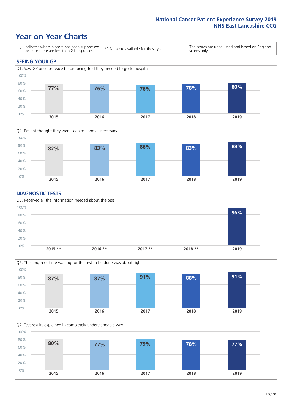### **Year on Year Charts**





#### **DIAGNOSTIC TESTS**





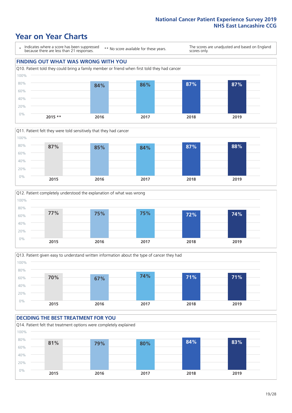







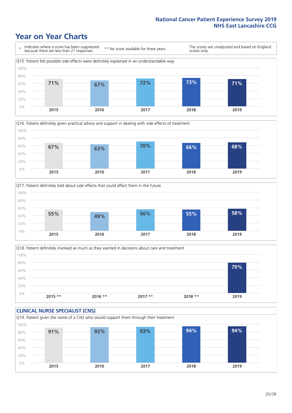





Q18. Patient definitely involved as much as they wanted in decisions about care and treatment  $0%$ 20% 40% 60% 80% 100% **2015 \*\* 2016 \*\* 2017 \*\* 2018 \*\* 2019 79%**

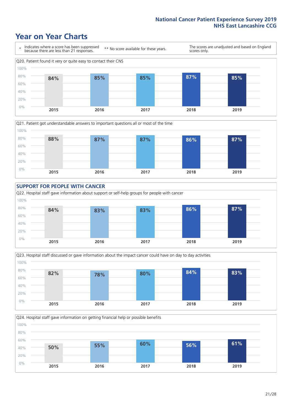









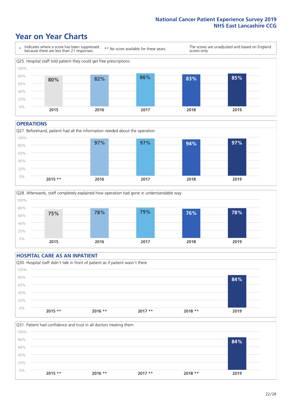### **Year on Year Charts**



#### **OPERATIONS**





### **HOSPITAL CARE AS AN INPATIENT** Q30. Hospital staff didn't talk in front of patient as if patient wasn't there 0% 20% 40% 60% 80% 100% **2015 \*\* 2016 \*\* 2017 \*\* 2018 \*\* 2019 84%**

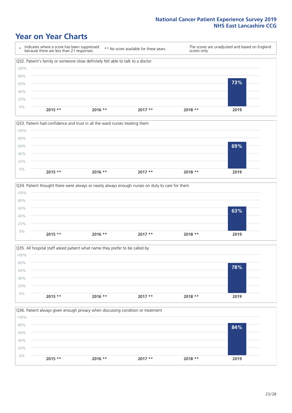







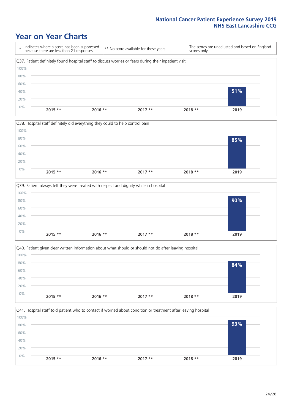### **Year on Year Charts**

\* Indicates where a score has been suppressed because there are less than 21 responses. \*\* No score available for these years. The scores are unadjusted and based on England scores only. Q37. Patient definitely found hospital staff to discuss worries or fears during their inpatient visit 0% 20% 40% 60% 80% 100% **2015 \*\* 2016 \*\* 2017 \*\* 2018 \*\* 2019 51%**







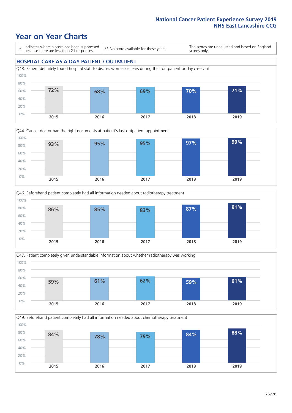### **Year on Year Charts**

\* Indicates where a score has been suppressed because there are less than 21 responses.

\*\* No score available for these years.

The scores are unadjusted and based on England scores only.

#### **HOSPITAL CARE AS A DAY PATIENT / OUTPATIENT**









Q49. Beforehand patient completely had all information needed about chemotherapy treatment 0% 20% 40% 60% 80% 100% **2015 2016 2017 2018 2019 84% 78% 79% 84% 88%**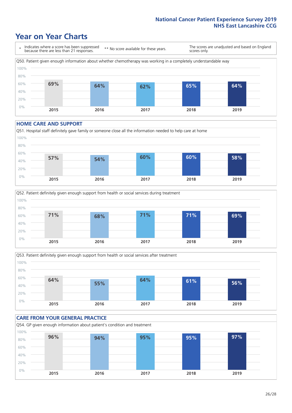### **Year on Year Charts**

\* Indicates where a score has been suppressed because there are less than 21 responses. \*\* No score available for these years. The scores are unadjusted and based on England scores only. Q50. Patient given enough information about whether chemotherapy was working in a completely understandable way 0% 20% 40% 60% 80% 100% **2015 2016 2017 2018 2019 69% 64% 62% 65% 64%**

#### **HOME CARE AND SUPPORT**







#### **CARE FROM YOUR GENERAL PRACTICE** Q54. GP given enough information about patient's condition and treatment 0% 20% 40% 60% 80% 100% **2015 2016 2017 2018 2019 96% 94% 95% 95% 97%**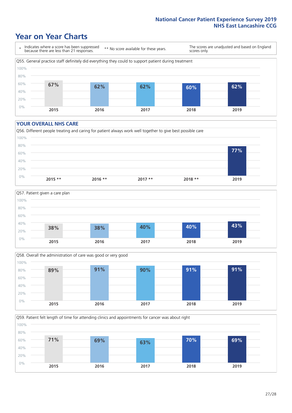### **Year on Year Charts**

\* Indicates where a score has been suppressed because there are less than 21 responses.

\*\* No score available for these years.

The scores are unadjusted and based on England scores only.



#### **YOUR OVERALL NHS CARE**







Q59. Patient felt length of time for attending clinics and appointments for cancer was about right 100%